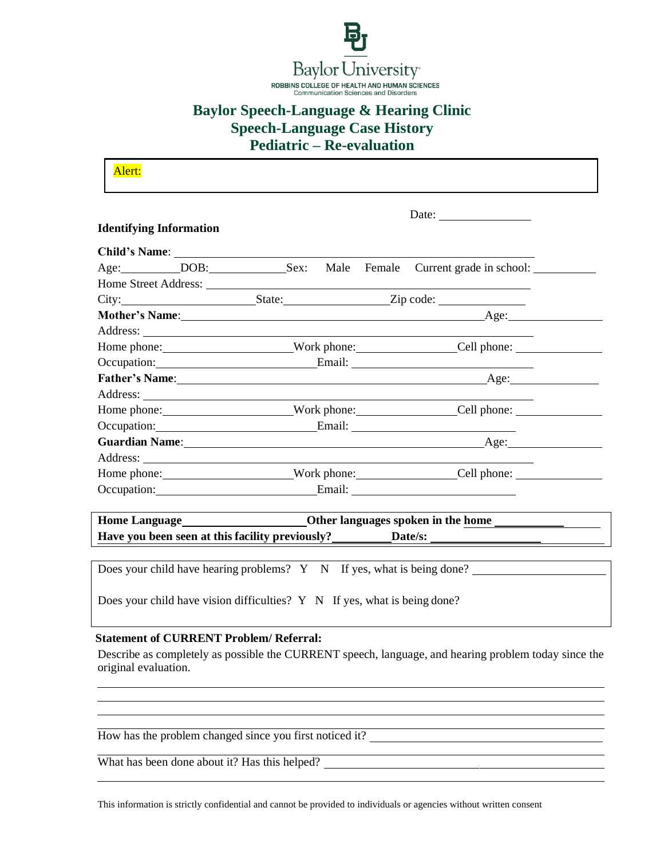

# **Baylor Speech-Language & Hearing Clinic Speech-Language Case History**

**Pediatric – Re-evaluation**

|                                |                                                                                          |  | Date: $\frac{1}{\sqrt{1-\frac{1}{2}}\cdot\frac{1}{2}}$ |
|--------------------------------|------------------------------------------------------------------------------------------|--|--------------------------------------------------------|
| <b>Identifying Information</b> |                                                                                          |  |                                                        |
|                                |                                                                                          |  |                                                        |
|                                | Age: __________DOB: ________________Sex: Male Female Current grade in school: __________ |  |                                                        |
|                                |                                                                                          |  |                                                        |
|                                | City: State: Zip code:                                                                   |  |                                                        |
|                                |                                                                                          |  |                                                        |
|                                |                                                                                          |  |                                                        |
|                                |                                                                                          |  |                                                        |
|                                | Occupation: Email: Email:                                                                |  |                                                        |
|                                |                                                                                          |  |                                                        |
|                                |                                                                                          |  |                                                        |
|                                |                                                                                          |  |                                                        |
|                                | Occupation: Email: Email:                                                                |  |                                                        |
|                                |                                                                                          |  |                                                        |
|                                |                                                                                          |  |                                                        |
|                                |                                                                                          |  |                                                        |
|                                | Occupation: Email: Email:                                                                |  |                                                        |
|                                | Home Language<br>Cther languages spoken in the home                                      |  |                                                        |
|                                |                                                                                          |  |                                                        |

Does your child have vision difficulties? Y N If yes, what is being done?

### **Statement of CURRENT Problem/ Referral:**

Describe as completely as possible the CURRENT speech, language, and hearing problem today since the original evaluation.

How has the problem changed since you first noticed it?

What has been done about it? Has this helped?

This information is strictly confidential and cannot be provided to individuals or agencies without written consent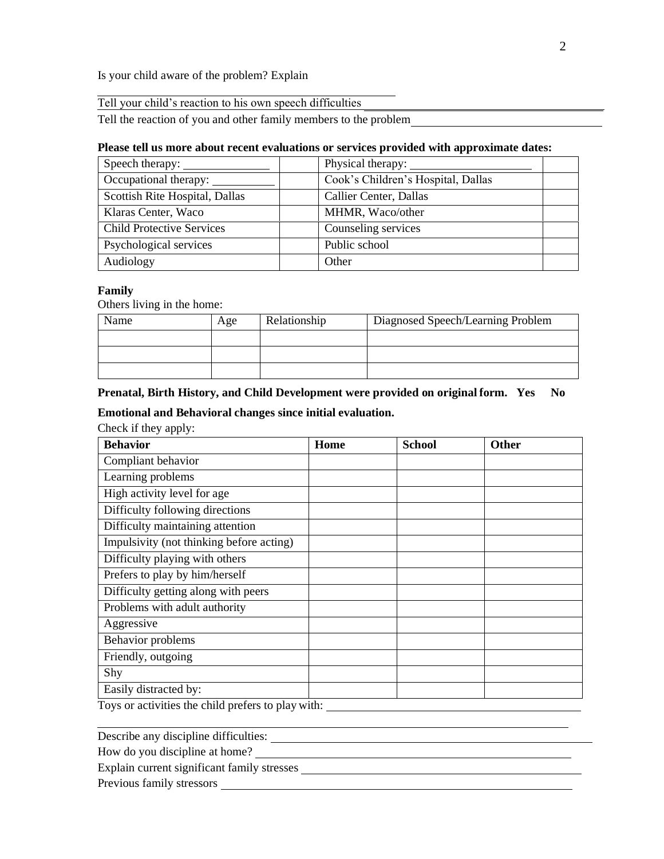Is your child aware of the problem? Explain

|  |  |  |  | Tell your child's reaction to his own speech difficulties |
|--|--|--|--|-----------------------------------------------------------|
|--|--|--|--|-----------------------------------------------------------|

Tell the reaction of you and other family members to the problem

#### **Please tell us more about recent evaluations or services provided with approximate dates:**

| Speech therapy:                  | Physical therapy:                  |
|----------------------------------|------------------------------------|
| Occupational therapy:            | Cook's Children's Hospital, Dallas |
| Scottish Rite Hospital, Dallas   | Callier Center, Dallas             |
| Klaras Center, Waco              | MHMR, Waco/other                   |
| <b>Child Protective Services</b> | Counseling services                |
| Psychological services           | Public school                      |
| Audiology                        | Other                              |

#### **Family**

Others living in the home:

| Name | Age | Relationship | Diagnosed Speech/Learning Problem |
|------|-----|--------------|-----------------------------------|
|      |     |              |                                   |
|      |     |              |                                   |
|      |     |              |                                   |

## **Prenatal, Birth History, and Child Development were provided on original form. Yes No**

# **Emotional and Behavioral changes since initial evaluation.**

Check if they apply:

| <b>Behavior</b>                          | Home | <b>School</b> | Other |
|------------------------------------------|------|---------------|-------|
| Compliant behavior                       |      |               |       |
| Learning problems                        |      |               |       |
| High activity level for age              |      |               |       |
| Difficulty following directions          |      |               |       |
| Difficulty maintaining attention         |      |               |       |
| Impulsivity (not thinking before acting) |      |               |       |
| Difficulty playing with others           |      |               |       |
| Prefers to play by him/herself           |      |               |       |
| Difficulty getting along with peers      |      |               |       |
| Problems with adult authority            |      |               |       |
| Aggressive                               |      |               |       |
| Behavior problems                        |      |               |       |
| Friendly, outgoing                       |      |               |       |
| Shy                                      |      |               |       |
| Easily distracted by:                    |      |               |       |

Toys or activities the child prefers to play with: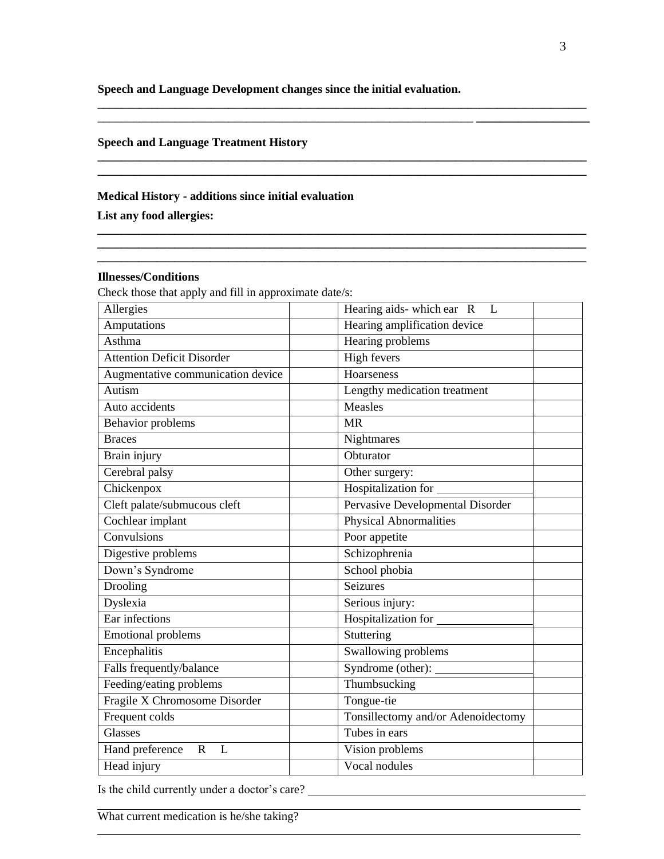**Speech and Language Development changes since the initial evaluation.**

\_\_\_\_\_\_\_\_\_\_\_\_\_\_\_\_\_\_\_\_\_\_\_\_\_\_\_\_\_\_\_\_\_\_\_\_\_\_\_\_\_\_\_\_\_\_\_\_\_\_\_\_\_\_\_\_\_\_\_\_\_\_\_\_\_\_\_\_\_\_\_\_\_\_\_\_\_\_\_\_\_\_ \_\_\_\_\_\_\_\_\_\_\_\_\_\_\_\_\_\_\_\_\_\_\_\_\_\_\_\_\_\_\_\_\_\_\_\_\_\_\_\_\_\_\_\_\_\_\_\_\_\_\_\_\_\_\_\_\_\_\_\_\_\_\_ **\_\_\_\_\_\_\_\_\_\_\_\_\_\_\_\_\_\_\_**

**\_\_\_\_\_\_\_\_\_\_\_\_\_\_\_\_\_\_\_\_\_\_\_\_\_\_\_\_\_\_\_\_\_\_\_\_\_\_\_\_\_\_\_\_\_\_\_\_\_\_\_\_\_\_\_\_\_\_\_\_\_\_\_\_\_\_\_\_\_\_\_\_\_\_\_\_\_\_\_\_\_\_**

**\_\_\_\_\_\_\_\_\_\_\_\_\_\_\_\_\_\_\_\_\_\_\_\_\_\_\_\_\_\_\_\_\_\_\_\_\_\_\_\_\_\_\_\_\_\_\_\_\_\_\_\_\_\_\_\_\_\_\_\_\_\_\_\_\_\_\_\_\_\_\_\_\_\_\_\_\_\_\_\_\_\_**

**\_\_\_\_\_\_\_\_\_\_\_\_\_\_\_\_\_\_\_\_\_\_\_\_\_\_\_\_\_\_\_\_\_\_\_\_\_\_\_\_\_\_\_\_\_\_\_\_\_\_\_\_\_\_\_\_\_\_\_\_\_\_\_\_\_\_\_\_\_\_\_\_\_\_\_\_\_\_\_\_\_\_**

# **Speech and Language Treatment History**

#### **Medical History - additions since initial evaluation**

**List any food allergies:** 

# **Illnesses/Conditions**

Check those that apply and fill in approximate date/s:

| Allergies                           | Hearing aids-which ear R<br>L      |
|-------------------------------------|------------------------------------|
| Amputations                         | Hearing amplification device       |
| Asthma                              | Hearing problems                   |
| <b>Attention Deficit Disorder</b>   | High fevers                        |
| Augmentative communication device   | Hoarseness                         |
| Autism                              | Lengthy medication treatment       |
| Auto accidents                      | Measles                            |
| Behavior problems                   | <b>MR</b>                          |
| <b>Braces</b>                       | Nightmares                         |
| Brain injury                        | Obturator                          |
| Cerebral palsy                      | Other surgery:                     |
| Chickenpox                          | Hospitalization for                |
| Cleft palate/submucous cleft        | Pervasive Developmental Disorder   |
| Cochlear implant                    | <b>Physical Abnormalities</b>      |
| Convulsions                         | Poor appetite                      |
| Digestive problems                  | Schizophrenia                      |
| Down's Syndrome                     | School phobia                      |
| Drooling                            | <b>Seizures</b>                    |
| Dyslexia                            | Serious injury:                    |
| Ear infections                      | Hospitalization for                |
| <b>Emotional problems</b>           | Stuttering                         |
| Encephalitis                        | Swallowing problems                |
| Falls frequently/balance            | Syndrome (other):                  |
| Feeding/eating problems             | Thumbsucking                       |
| Fragile X Chromosome Disorder       | Tongue-tie                         |
| Frequent colds                      | Tonsillectomy and/or Adenoidectomy |
| Glasses                             | Tubes in ears                      |
| Hand preference<br>$\mathbf R$<br>L | Vision problems                    |
| Head injury                         | Vocal nodules                      |

Is the child currently under a doctor's care?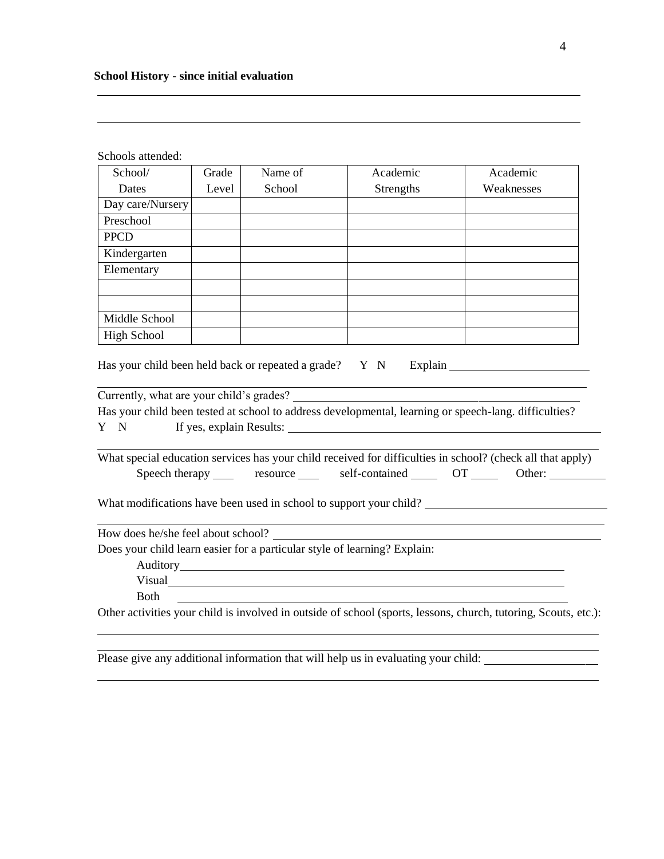| Schools attended:                  |       |         |                                                                                    |                                                                                                                                                               |
|------------------------------------|-------|---------|------------------------------------------------------------------------------------|---------------------------------------------------------------------------------------------------------------------------------------------------------------|
| School/                            | Grade | Name of | Academic                                                                           | Academic                                                                                                                                                      |
| Dates                              | Level | School  | Strengths                                                                          | Weaknesses                                                                                                                                                    |
| Day care/Nursery                   |       |         |                                                                                    |                                                                                                                                                               |
| Preschool                          |       |         |                                                                                    |                                                                                                                                                               |
| <b>PPCD</b>                        |       |         |                                                                                    |                                                                                                                                                               |
| Kindergarten                       |       |         |                                                                                    |                                                                                                                                                               |
| Elementary                         |       |         |                                                                                    |                                                                                                                                                               |
| Middle School                      |       |         |                                                                                    |                                                                                                                                                               |
| <b>High School</b>                 |       |         |                                                                                    |                                                                                                                                                               |
| Y N                                |       |         | If yes, explain Results:                                                           | What special education services has your child received for difficulties in school? (check all that apply)<br>Speech therapy resource self-contained OT Cher: |
|                                    |       |         |                                                                                    | What modifications have been used in school to support your child?                                                                                            |
| How does he/she feel about school? |       |         |                                                                                    |                                                                                                                                                               |
|                                    |       |         | Does your child learn easier for a particular style of learning? Explain:          |                                                                                                                                                               |
|                                    |       |         |                                                                                    |                                                                                                                                                               |
|                                    |       |         | Visual <sub>d</sub>                                                                |                                                                                                                                                               |
| <b>Both</b>                        |       |         |                                                                                    |                                                                                                                                                               |
|                                    |       |         |                                                                                    | Other activities your child is involved in outside of school (sports, lessons, church, tutoring, Scouts, etc.):                                               |
|                                    |       |         |                                                                                    |                                                                                                                                                               |
|                                    |       |         | Please give any additional information that will help us in evaluating your child: |                                                                                                                                                               |

<u> 1989 - Johann Barn, mars and de Branch Barn, mars and de Branch Barn, mars and de Branch Barn, mars and de Br</u>